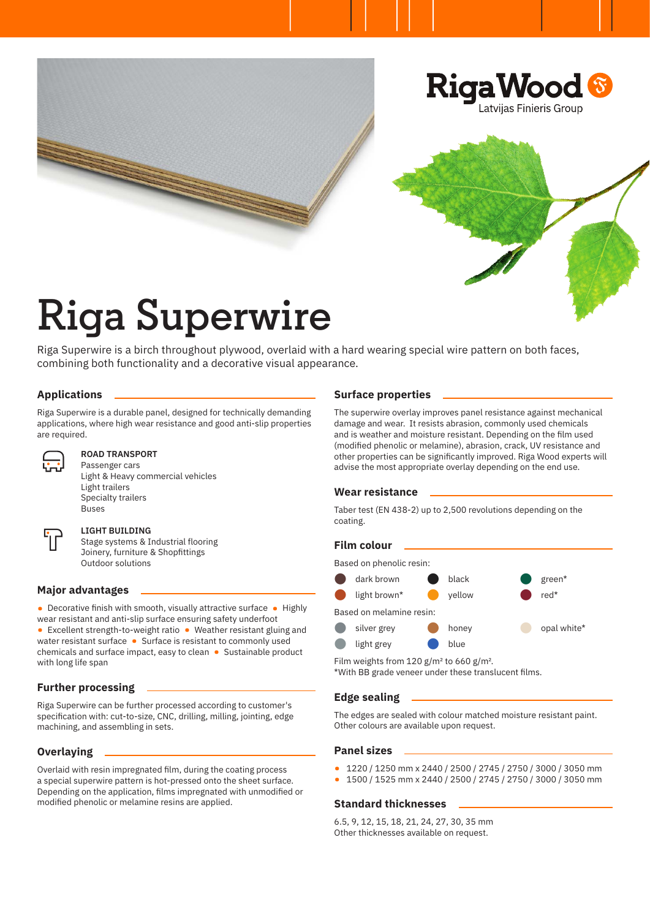

# **Riga Superwire**

Riga Superwire is a birch throughout plywood, overlaid with a hard wearing special wire pattern on both faces, combining both functionality and a decorative visual appearance.

# **Applications**

Riga Superwire is a durable panel, designed for technically demanding applications, where high wear resistance and good anti-slip properties are required.



## **ROAD TRANSPORT**

Passenger cars Light & Heavy commercial vehicles Light trailers Specialty trailers Buses



#### **LIGHT BUILDING**

Stage systems & Industrial flooring Joinery, furniture & Shopfittings Outdoor solutions

# **Major advantages**

• Decorative finish with smooth, visually attractive surface • Highly wear resistant and anti-slip surface ensuring safety underfoot • Excellent strength-to-weight ratio • Weather resistant gluing and water resistant surface • Surface is resistant to commonly used chemicals and surface impact, easy to clean • Sustainable product with long life span

# **Further processing**

Riga Superwire can be further processed according to customer's specification with: cut-to-size, CNC, drilling, milling, jointing, edge machining, and assembling in sets.

# **Overlaying**

Overlaid with resin impregnated film, during the coating process a special superwire pattern is hot-pressed onto the sheet surface. Depending on the application, films impregnated with unmodified or modified phenolic or melamine resins are applied.

## **Surface properties**

The superwire overlay improves panel resistance against mechanical damage and wear. It resists abrasion, commonly used chemicals and is weather and moisture resistant. Depending on the film used (modified phenolic or melamine), abrasion, crack, UV resistance and other properties can be significantly improved. Riga Wood experts will advise the most appropriate overlay depending on the end use.

#### **Wear resistance**

Taber test (EN 438-2) up to 2,500 revolutions depending on the coating.

#### **Film colour**



Film weights from 120  $g/m^2$  to 660  $g/m^2$ . \*With BB grade veneer under these translucent films.

# **Edge sealing**

The edges are sealed with colour matched moisture resistant paint. Other colours are available upon request.

#### **Panel sizes**

- 1220 / 1250 mm x 2440 / 2500 / 2745 / 2750 / 3000 / 3050 mm
- 1500 / 1525 mm x 2440 / 2500 / 2745 / 2750 / 3000 / 3050 mm

#### **Standard thicknesses**

6.5, 9, 12, 15, 18, 21, 24, 27, 30, 35 mm Other thicknesses available on request.